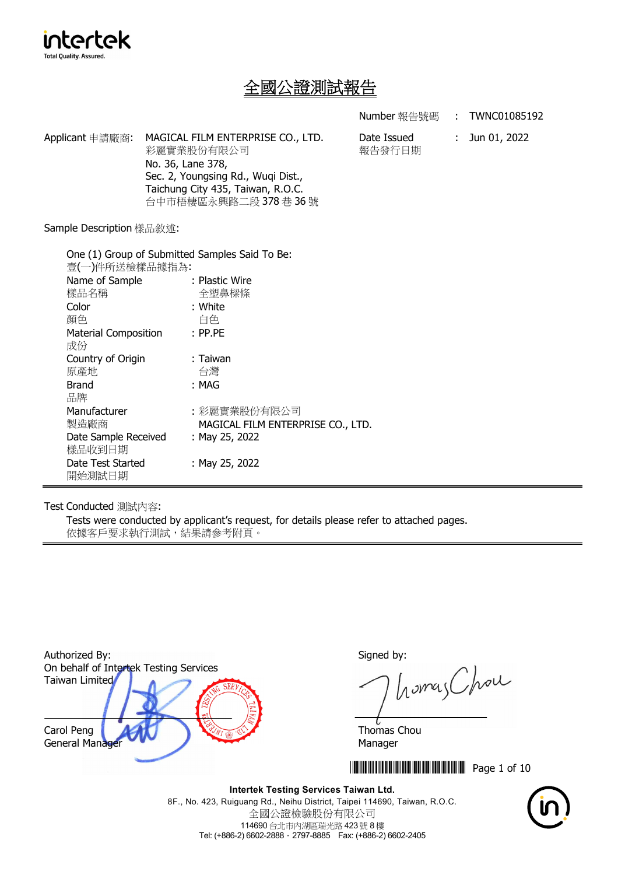

# 全國公證測試報告

**Number** 報告號碼 : TWNC01085192

Applicant 申請廠商: MAGICAL FILM ENTERPRISE CO., LTD. 彩麗實業股份有限公司 No. 36, Lane 378, Sec. 2, Youngsing Rd., Wuqi Dist., Taichung City 435, Taiwan, R.O.C. 台中市梧棲區永興路二段 378 巷 36 號

Date Issued 報告發行日期 : Jun 01, 2022

Sample Description 樣品敘述:

| One (1) Group of Submitted Samples Said To Be: |                                   |  |  |
|------------------------------------------------|-----------------------------------|--|--|
| 壹(一)件所送檢樣品據指為:                                 |                                   |  |  |
| Name of Sample                                 | : Plastic Wire                    |  |  |
| 樣品名稱                                           | 全塑鼻樑條                             |  |  |
| Color                                          | : White                           |  |  |
| 顏色                                             | 白色                                |  |  |
| <b>Material Composition</b>                    | $:$ PP.PE                         |  |  |
| 成份                                             |                                   |  |  |
| Country of Origin                              | : Taiwan                          |  |  |
| 原產地                                            | 台灣                                |  |  |
| <b>Brand</b>                                   | : MAG                             |  |  |
| 品牌                                             |                                   |  |  |
| Manufacturer                                   | :彩麗實業股份有限公司                       |  |  |
| 製造廠商                                           | MAGICAL FILM ENTERPRISE CO., LTD. |  |  |
| Date Sample Received                           | : May 25, 2022                    |  |  |
| 樣品收到日期                                         |                                   |  |  |
| Date Test Started                              | : May 25, 2022                    |  |  |
| 開始測試日期                                         |                                   |  |  |

Test Conducted 測試內容:

Tests were conducted by applicant's request, for details please refer to attached pages. 依據客戶要求執行測試,結果請參考附頁。



homas Chou

**THEFT THEFT IN SET OF 10** 

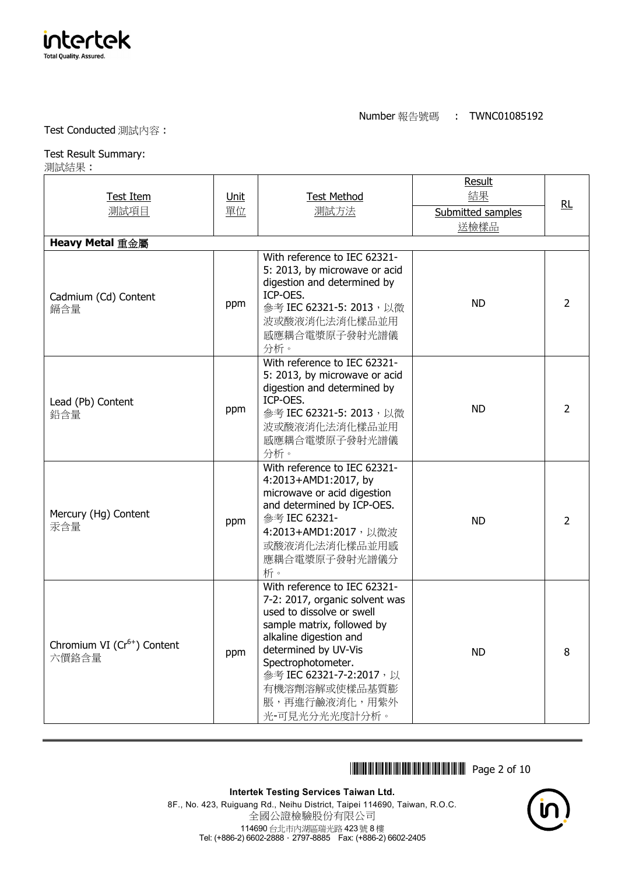

#### Test Conducted 測試內容 :

### Test Result Summary:

測試結果 :

| <b>Test Item</b><br>測試項目                 | <u>Unit</u><br>單位 | <b>Test Method</b><br>測試方法                                                                                                                                                                                                                                                       | <b>Result</b><br>結果<br>Submitted samples<br>送檢樣品 | RL             |
|------------------------------------------|-------------------|----------------------------------------------------------------------------------------------------------------------------------------------------------------------------------------------------------------------------------------------------------------------------------|--------------------------------------------------|----------------|
| Heavy Metal 重金屬                          |                   |                                                                                                                                                                                                                                                                                  |                                                  |                |
| Cadmium (Cd) Content<br>鎘含量              | ppm               | With reference to IEC 62321-<br>5: 2013, by microwave or acid<br>digestion and determined by<br>ICP-OES.<br>參考 IEC 62321-5: 2013, 以微<br>波或酸液消化法消化樣品並用<br>感應耦合電漿原子發射光譜儀<br>分析。                                                                                                    | <b>ND</b>                                        | $\overline{2}$ |
| Lead (Pb) Content<br>鉛含量                 | ppm               | With reference to IEC 62321-<br>5: 2013, by microwave or acid<br>digestion and determined by<br>ICP-OES.<br>參考 IEC 62321-5: 2013, 以微<br>波或酸液消化法消化樣品並用<br>感應耦合電漿原子發射光譜儀<br>分析。                                                                                                    | <b>ND</b>                                        | $\overline{2}$ |
| Mercury (Hg) Content<br>汞含量              | ppm               | With reference to IEC 62321-<br>4:2013+AMD1:2017, by<br>microwave or acid digestion<br>and determined by ICP-OES.<br>參考 IEC 62321-<br>4:2013+AMD1:2017, 以微波<br>或酸液消化法消化樣品並用感<br>應耦合電漿原子發射光譜儀分<br>析。                                                                              | <b>ND</b>                                        | $\overline{2}$ |
| Chromium VI $(Cr^{6+})$ Content<br>六價鉻含量 | ppm               | With reference to IEC 62321-<br>7-2: 2017, organic solvent was<br>used to dissolve or swell<br>sample matrix, followed by<br>alkaline digestion and<br>determined by UV-Vis<br>Spectrophotometer.<br>參考 IEC 62321-7-2:2017, 以<br>有機溶劑溶解或使樣品基質膨<br>脹,再進行鹼液消化,用紫外<br>光-可見光分光光度計分析。 | <b>ND</b>                                        | 8              |

## **THEFTH AND AND ALL Page 2 of 10**

**Intertek Testing Services Taiwan Ltd.**

8F., No. 423, Ruiguang Rd., Neihu District, Taipei 114690, Taiwan, R.O.C. 全國公證檢驗股份有限公司 114690 台北市內湖區瑞光路 423 號 8 樓 Tel: (+886-2) 6602-2888.2797-8885 Fax: (+886-2) 6602-2405

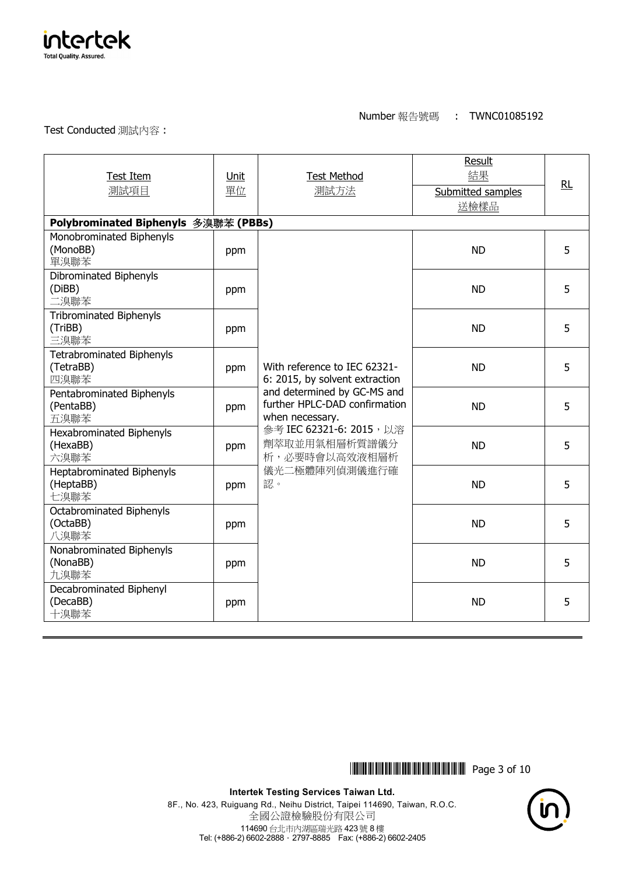

Test Conducted 測試內容 :

| <b>Test Item</b><br>測試項目                              | Unit<br>單位 | <b>Test Method</b><br>測試方法                                                                                                                                                                                                             | <b>Result</b><br>結果<br>Submitted samples<br>送檢樣品 | RL |
|-------------------------------------------------------|------------|----------------------------------------------------------------------------------------------------------------------------------------------------------------------------------------------------------------------------------------|--------------------------------------------------|----|
| Polybrominated Biphenyls 多溴聯苯 (PBBs)                  |            |                                                                                                                                                                                                                                        |                                                  |    |
| Monobrominated Biphenyls<br>(MonoBB)<br>單溴聯苯          | ppm        | With reference to IEC 62321-<br>6: 2015, by solvent extraction<br>and determined by GC-MS and<br>further HPLC-DAD confirmation<br>when necessary.<br>參考 IEC 62321-6: 2015, 以溶<br>劑萃取並用氣相層析質譜儀分<br>析,必要時會以高效液相層析<br>儀光二極體陣列偵測儀進行確<br>認。 | <b>ND</b>                                        | 5  |
| Dibrominated Biphenyls<br>(DiBB)<br>二溴聯苯              | ppm        |                                                                                                                                                                                                                                        | <b>ND</b>                                        | 5  |
| <b>Tribrominated Biphenyls</b><br>(TriBB)<br>三溴聯苯     | ppm        |                                                                                                                                                                                                                                        | <b>ND</b>                                        | 5  |
| <b>Tetrabrominated Biphenyls</b><br>(TetraBB)<br>四溴聯苯 | ppm        |                                                                                                                                                                                                                                        | <b>ND</b>                                        | 5  |
| Pentabrominated Biphenyls<br>(PentaBB)<br>五溴聯苯        | ppm        |                                                                                                                                                                                                                                        | <b>ND</b>                                        | 5  |
| <b>Hexabrominated Biphenyls</b><br>(HexaBB)<br>六溴聯苯   | ppm        |                                                                                                                                                                                                                                        | <b>ND</b>                                        | 5  |
| Heptabrominated Biphenyls<br>(HeptaBB)<br>七溴聯苯        | ppm        |                                                                                                                                                                                                                                        | <b>ND</b>                                        | 5  |
| <b>Octabrominated Biphenyls</b><br>(OctaBB)<br>八溴聯苯   | ppm        |                                                                                                                                                                                                                                        | <b>ND</b>                                        | 5. |
| Nonabrominated Biphenyls<br>(NonaBB)<br>九溴聯苯          | ppm        |                                                                                                                                                                                                                                        | <b>ND</b>                                        | 5  |
| Decabrominated Biphenyl<br>(DecaBB)<br>十溴聯苯           | ppm        |                                                                                                                                                                                                                                        | <b>ND</b>                                        | 5  |

**THEFTH AND AND AN INCOMENTA** Page 3 of 10

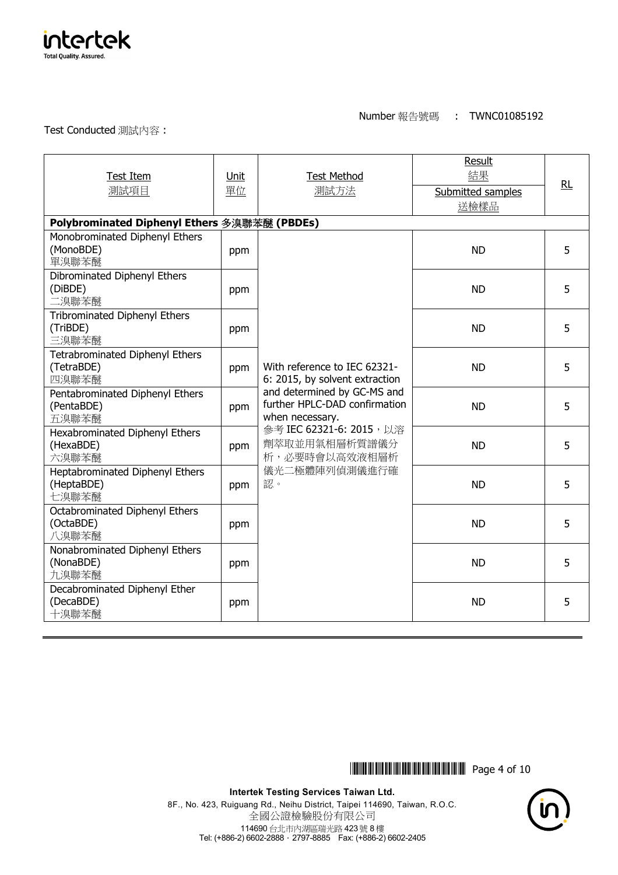

Test Conducted 測試內容 :

| Test Item<br>測試項目                                         | Unit<br>單位 | <b>Test Method</b><br>測試方法                                                                                                                                                                                                             | Result<br>結果<br>Submitted samples<br>送檢樣品 | RL |
|-----------------------------------------------------------|------------|----------------------------------------------------------------------------------------------------------------------------------------------------------------------------------------------------------------------------------------|-------------------------------------------|----|
| Polybrominated Diphenyl Ethers 多溴聯苯醚 (PBDEs)              |            |                                                                                                                                                                                                                                        |                                           |    |
| Monobrominated Diphenyl Ethers<br>(MonoBDE)<br>單溴聯苯醚      | ppm        |                                                                                                                                                                                                                                        | <b>ND</b>                                 | 5  |
| Dibrominated Diphenyl Ethers<br>(DiBDE)<br>二溴聯苯醚          | ppm        |                                                                                                                                                                                                                                        | <b>ND</b>                                 | 5  |
| <b>Tribrominated Diphenyl Ethers</b><br>(TriBDE)<br>三溴聯苯醚 | ppm        | With reference to IEC 62321-<br>6: 2015, by solvent extraction<br>and determined by GC-MS and<br>further HPLC-DAD confirmation<br>when necessary.<br>參考 IEC 62321-6: 2015, 以溶<br>劑萃取並用氣相層析質譜儀分<br>析,必要時會以高效液相層析<br>儀光二極體陣列偵測儀進行確<br>認。 | <b>ND</b>                                 | 5  |
| Tetrabrominated Diphenyl Ethers<br>(TetraBDE)<br>四溴聯苯醚    | ppm        |                                                                                                                                                                                                                                        | <b>ND</b>                                 | 5  |
| Pentabrominated Diphenyl Ethers<br>(PentaBDE)<br>五溴聯苯醚    | ppm        |                                                                                                                                                                                                                                        | <b>ND</b>                                 | 5  |
| Hexabrominated Diphenyl Ethers<br>(HexaBDE)<br>六溴聯苯醚      | ppm        |                                                                                                                                                                                                                                        | <b>ND</b>                                 | 5  |
| Heptabrominated Diphenyl Ethers<br>(HeptaBDE)<br>七溴聯苯醚    | ppm        |                                                                                                                                                                                                                                        | <b>ND</b>                                 | 5  |
| Octabrominated Diphenyl Ethers<br>(OctaBDE)<br>八溴聯苯醚      | ppm        |                                                                                                                                                                                                                                        | <b>ND</b>                                 | 5  |
| Nonabrominated Diphenyl Ethers<br>(NonaBDE)<br>九溴聯苯醚      | ppm        |                                                                                                                                                                                                                                        | <b>ND</b>                                 | 5  |
| Decabrominated Diphenyl Ether<br>(DecaBDE)<br>十溴聯苯醚       | ppm        |                                                                                                                                                                                                                                        | <b>ND</b>                                 | 5  |

**\*THEFTH AND IN STATE OF 10** 

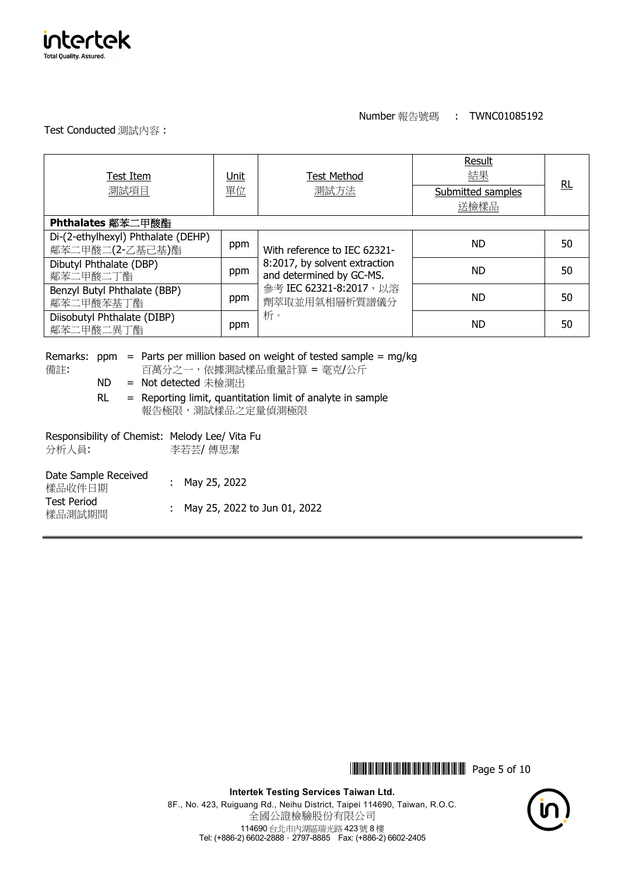

Test Conducted 測試內容 :

| <b>Test Item</b><br>測試項目                              | Unit<br>單位 | <b>Test Method</b><br>測試方法                                                                                                                  | Result<br>結果<br>Submitted samples<br>送檢樣品 | RL |
|-------------------------------------------------------|------------|---------------------------------------------------------------------------------------------------------------------------------------------|-------------------------------------------|----|
| Phthalates 鄰苯二甲酸酯                                     |            |                                                                                                                                             |                                           |    |
| Di-(2-ethylhexyl) Phthalate (DEHP)<br>鄰苯二甲酸二(2-乙基己基)酯 | ppm        | With reference to IEC 62321-<br>8:2017, by solvent extraction<br>and determined by GC-MS.<br>參考 IEC 62321-8:2017, 以溶<br>劑萃取並用氣相層析質譜儀分<br>析。 | <b>ND</b>                                 | 50 |
| Dibutyl Phthalate (DBP)<br>鄰苯二甲酸二丁酯                   | ppm        |                                                                                                                                             | <b>ND</b>                                 | 50 |
| Benzyl Butyl Phthalate (BBP)<br>鄰苯二甲酸苯基丁酯             | ppm        |                                                                                                                                             | <b>ND</b>                                 | 50 |
| Diisobutyl Phthalate (DIBP)<br>鄰苯二甲酸二異丁酯              | ppm        |                                                                                                                                             | <b>ND</b>                                 | 50 |
|                                                       |            |                                                                                                                                             |                                           |    |

備註:

Remarks: ppm = Parts per million based on weight of tested sample = mg/kg

百萬分之一,依據測試樣品重量計算 = 毫克/公斤

ND = Not detected 未檢測出

 RL = Reporting limit, quantitation limit of analyte in sample 報告極限,測試樣品之定量偵測極限

| Responsibility of Chemist: Melody Lee/ Vita Fu<br>分析人員: | 李若芸/ 傅思潔                       |
|---------------------------------------------------------|--------------------------------|
| Date Sample Received<br>樣品收件日期                          | : May 25, 2022                 |
| <b>Test Period</b><br>樣品測試期間                            | : May 25, 2022 to Jun 01, 2022 |

\*THJ1085192\* Page 5 of 10

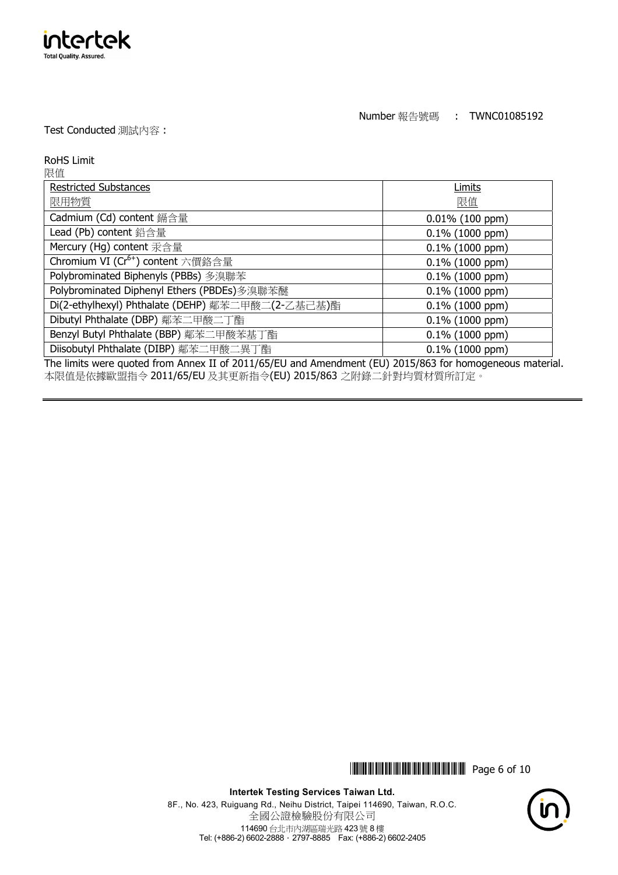

Test Conducted 測試內容 :

intertek **Total Quality, Assured.** 

| <b>RoHS Limit</b>                                                                                        |                    |  |
|----------------------------------------------------------------------------------------------------------|--------------------|--|
| 限值                                                                                                       |                    |  |
| <b>Restricted Substances</b>                                                                             | Limits             |  |
| 限用物質                                                                                                     | 限值                 |  |
| Cadmium (Cd) content 鎘含量                                                                                 | $0.01\%$ (100 ppm) |  |
| Lead (Pb) content 鉛含量                                                                                    | $0.1\%$ (1000 ppm) |  |
| Mercury (Hg) content 汞含量                                                                                 | $0.1\%$ (1000 ppm) |  |
| Chromium VI (Cr <sup>6+</sup> ) content 六價鉻含量                                                            | $0.1\%$ (1000 ppm) |  |
| Polybrominated Biphenyls (PBBs) 多溴聯苯                                                                     | $0.1\%$ (1000 ppm) |  |
| Polybrominated Diphenyl Ethers (PBDEs)多溴聯苯醚                                                              | $0.1\%$ (1000 ppm) |  |
| Di(2-ethylhexyl) Phthalate (DEHP) 鄰苯二甲酸二(2-乙基己基)酯                                                        | $0.1\%$ (1000 ppm) |  |
| Dibutyl Phthalate (DBP) 鄰苯二甲酸二丁酯                                                                         | $0.1\%$ (1000 ppm) |  |
| Benzyl Butyl Phthalate (BBP) 鄰苯二甲酸苯基丁酯                                                                   | $0.1\%$ (1000 ppm) |  |
| Diisobutyl Phthalate (DIBP) 鄰苯二甲酸二異丁酯                                                                    | $0.1\%$ (1000 ppm) |  |
| The limits were quoted from Annex II of 2011/65/EU and Amendment (EU) 2015/863 for homogeneous material. |                    |  |

本限值是依據歐盟指令 2011/65/EU 及其更新指令(EU) 2015/863 之附錄二針對均質材質所訂定。

\*THJ1085192\* Page 6 of 10

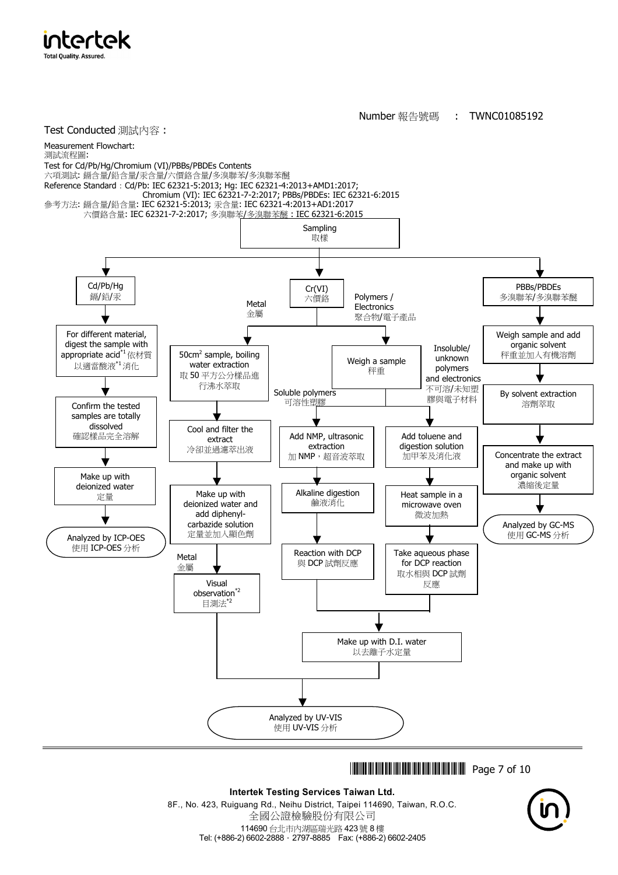

intertek

\*THJ1085192\* Page 7 of 10

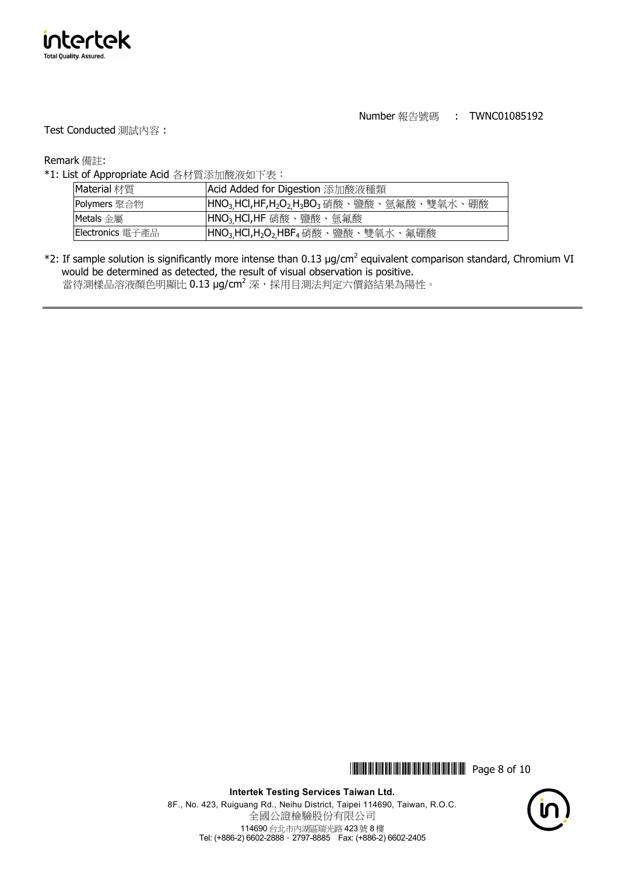

Test Conducted 測試內容 :

Remark 備註:

\*1: List of Appropriate Acid 各材質添加酸液如下表:

| Material 材質      | Acid Added for Digestion 添加酸液種類                                                                         |
|------------------|---------------------------------------------------------------------------------------------------------|
| Polymers 聚合物     | HNO <sub>3.</sub> HCl,HF,H <sub>2</sub> O <sub>2.</sub> H <sub>3</sub> BO <sub>3</sub> 硝酸、鹽酸、氫氟酸、雙氧水、硼酸 |
| Metals 金屬        | HNO <sub>3.</sub> HCl,HF 硝酸、鹽酸、氫氟酸                                                                      |
| Electronics 電子產品 | HNO <sub>3.</sub> HCl,H <sub>2</sub> O <sub>2.</sub> HBF <sub>4</sub> 硝酸、鹽酸、雙氧水、氟硼酸                     |

 $*$ 2: If sample solution is significantly more intense than 0.13 µg/cm<sup>2</sup> equivalent comparison standard, Chromium VI would be determined as detected, the result of visual observation is positive. 當待測樣品溶液顏色明顯比 0.13 μg/cm<sup>2</sup> 深,採用目測法判定六價鉻結果為陽性。

\*THJ1085192\* Page 8 of 10

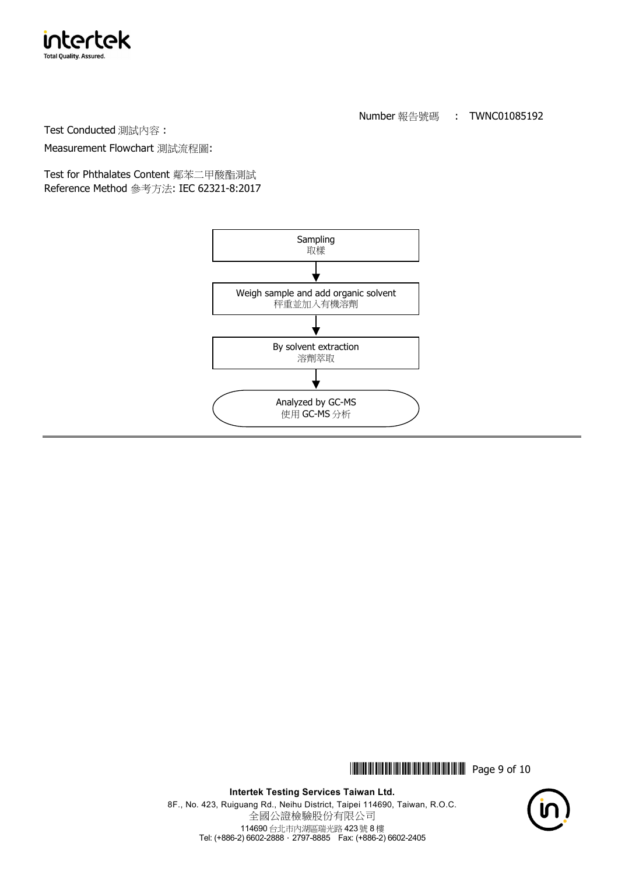

Test Conducted 測試內容 :

Measurement Flowchart 測試流程圖:

Test for Phthalates Content 鄰苯二甲酸酯測試 Reference Method 參考方法: IEC 62321-8:2017



**THEFT IN SET OF 108 1999 IN STREET IN STREET IN STREET IN STREET IN STREET IN STREET IN STREET IN STREET IN ST**